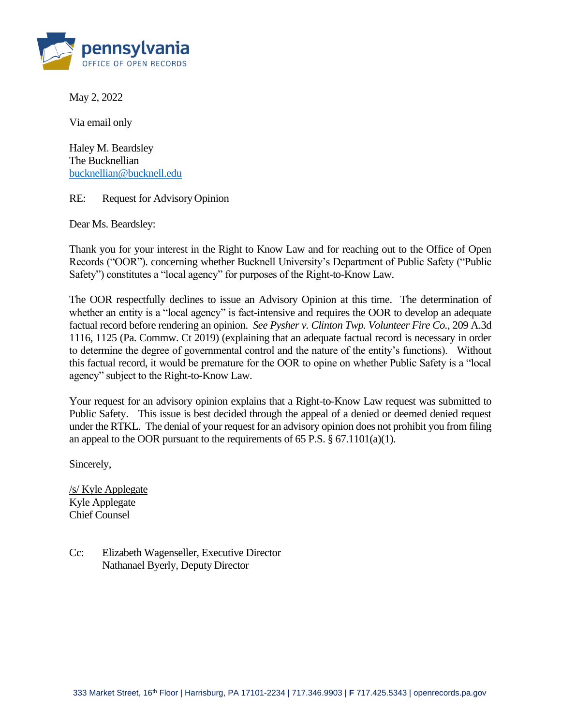

May 2, 2022

Via email only

Haley M. Beardsley The Bucknellian [bucknellian@bucknell.edu](mailto:dchew@co.westmoreland.pa.us)

RE: Request for Advisory Opinion

Dear Ms. Beardsley:

Thank you for your interest in the Right to Know Law and for reaching out to the Office of Open Records ("OOR"). concerning whether Bucknell University's Department of Public Safety ("Public Safety") constitutes a "local agency" for purposes of the Right-to-Know Law.

The OOR respectfully declines to issue an Advisory Opinion at this time. The determination of whether an entity is a "local agency" is fact-intensive and requires the OOR to develop an adequate factual record before rendering an opinion. *See Pysher v. Clinton Twp. Volunteer Fire Co.*, 209 A.3d 1116, 1125 (Pa. Commw. Ct 2019) (explaining that an adequate factual record is necessary in order to determine the degree of governmental control and the nature of the entity's functions). Without this factual record, it would be premature for the OOR to opine on whether Public Safety is a "local agency" subject to the Right-to-Know Law.

Your request for an advisory opinion explains that a Right-to-Know Law request was submitted to Public Safety. This issue is best decided through the appeal of a denied or deemed denied request under the RTKL. The denial of your request for an advisory opinion does not prohibit you from filing an appeal to the OOR pursuant to the requirements of 65 P.S.  $\S$  67.1101(a)(1).

Sincerely,

/s/ Kyle Applegate Kyle Applegate Chief Counsel

Cc: Elizabeth Wagenseller, Executive Director Nathanael Byerly, Deputy Director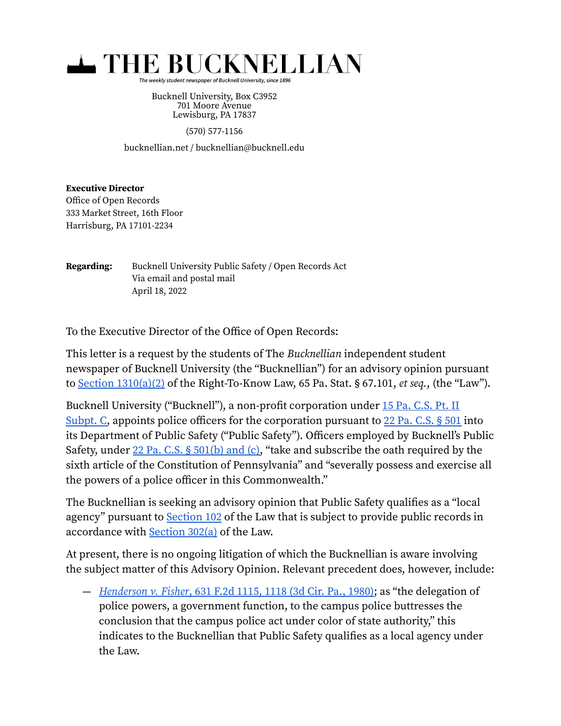

The weekly student newspaper of Bucknell University, since 1896

Bucknell University, Box C3952 701 Moore Avenue Lewisburg, PA 17837

(570) 577-1156

bucknellian.net / bucknellian@bucknell.edu

## **Executive Director**

Office of Open Records 333 Market Street, 16th Floor Harrisburg, PA 17101-2234

**Regarding:** Bucknell University Public Safety / Open Records Act Via email and postal mail April 18, 2022

To the Executive Director of the Office of Open Records:

This letter is a request by the students of The Bucknellian independent student newspaper of Bucknell University (the "Bucknellian") for an advisory opinion pursuant to Section  $1310(a)(2)$  of the Right-To-Know Law, 65 Pa. Stat. § 67.101, et seq., (the "Law").

Bucknell University ("Bucknell"), a non-profit corporation under 15 Pa. [C.S.](https://casetext.com/statute/pennsylvania-statutes/consolidated-statutes/title-15-pacs-corporations-and-unincorporated-associations/part-ii-corporations/subpart-c-nonprofit-corporations) Pt. II [Subpt.](https://casetext.com/statute/pennsylvania-statutes/consolidated-statutes/title-15-pacs-corporations-and-unincorporated-associations/part-ii-corporations/subpart-c-nonprofit-corporations) C, appoints police officers for the corporation pursuant to 22 Pa. [C.S.](https://casetext.com/statute/pennsylvania-statutes/consolidated-statutes/title-22-pacs-detectives-and-private-police/chapter-5-private-police/section-501-appointment-by-nonprofit-corporations?resultsNav=false&tab=keyword) § 501 into its Department of Public Safety ("Public Safety"). Officers employed by Bucknell's Public Safety, under 22 Pa. C.S. § [501\(b\)](https://casetext.com/statute/pennsylvania-statutes/consolidated-statutes/title-22-pacs-detectives-and-private-police/chapter-5-private-police/section-501-appointment-by-nonprofit-corporations?resultsNav=false&tab=keyword) and (c), "take and subscribe the oath required by the sixth article of the Constitution of Pennsylvania" and "severally possess and exercise all the powers of a police officer in this Commonwealth."

The Bucknellian is seeking an advisory opinion that Public Safety qualifies as a "local agency" pursuant to [Section](https://casetext.com/statute/pennsylvania-statutes/statutes-unconsolidated/title-65-ps-public-officers/chapter-3a-right-to-know-law/chapter-1-preliminary-provisions/section-67102-definitions?sort=relevance&type=regulation&ssr=false&resultsNav=false&tab=keyword) 102 of the Law that is subject to provide public records in accordance with [Section](https://casetext.com/statute/pennsylvania-statutes/statutes-unconsolidated/title-65-ps-public-officers/chapter-3a-right-to-know-law/chapter-3-requirements-and-prohibitions/section-67302-local-agencies?sort=relevance&type=regulation&ssr=false&resultsNav=false&tab=keyword) 302(a) of the Law.

At present, there is no ongoing litigation of which the Bucknellian is aware involving the subject matter of this Advisory Opinion. Relevant precedent does, however, include:

— [Henderson](https://casetext.com/case/henderson-v-fisher-6?sort=relevance&type=regulation&ssr=false&resultsNav=false&tab=keyword#p1118) v. Fisher, 631 F.2d 1115, 1118 (3d Cir. Pa., 1980); as "the delegation of police powers, a government function, to the campus police buttresses the conclusion that the campus police act under color of state authority," this indicates to the Bucknellian that Public Safety qualifies as a local agency under the Law.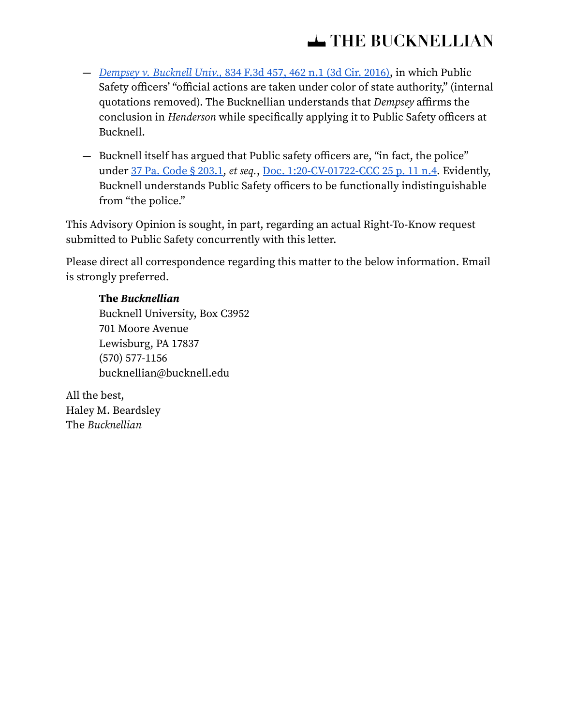- [Dempsey](https://casetext.com/case/dempsey-v-bucknell-univ-6?sort=relevance&type=regulation&ssr=false&resultsNav=false&tab=keyword#N196626) v. Bucknell Univ., 834 F.3d 457, 462 n.1 (3d Cir. 2016), in which Public Safety officers' "official actions are taken under color of state authority," (internal quotations removed). The Bucknellian understands that Dempsey affirms the conclusion in Henderson while specifically applying it to Public Safety officers at Bucknell.
- Bucknell itself has argued that Public safety officers are, "in fact, the police" under 37 Pa. Code § [203.1,](https://casetext.com/regulation/pennsylvania-code-rules-and-regulations/title-37-law/part-iv-municipal-police-officers-education-and-training-commission/subpart-a-retired-law-enforcement-identification-and-qualification/chapter-203-administration-of-the-program/subchapter-a-general/section-2031-definitions?p=1&q=37%20Pa.%20Code%20%C2%A7%20203.1&sort=relevance&type=regulation&ssr=false) et seq., Doc. [1:20-CV-01722-CCC](https://storage.courtlistener.com/recap/gov.uscourts.pamd.126522/gov.uscourts.pamd.126522.25.0.pdf#page=15) 25 p. 11 n.4. Evidently, Bucknell understands Public Safety officers to be functionally indistinguishable from "the police."

This Advisory Opinion is sought, in part, regarding an actual Right-To-Know request submitted to Public Safety concurrently with this letter.

Please direct all correspondence regarding this matter to the below information. Email is strongly preferred.

## **The Bucknellian**

Bucknell University, Box C3952 701 Moore Avenue Lewisburg, PA 17837 (570) 577-1156 bucknellian@bucknell.edu

All the best, Haley M. Beardsley The Bucknellian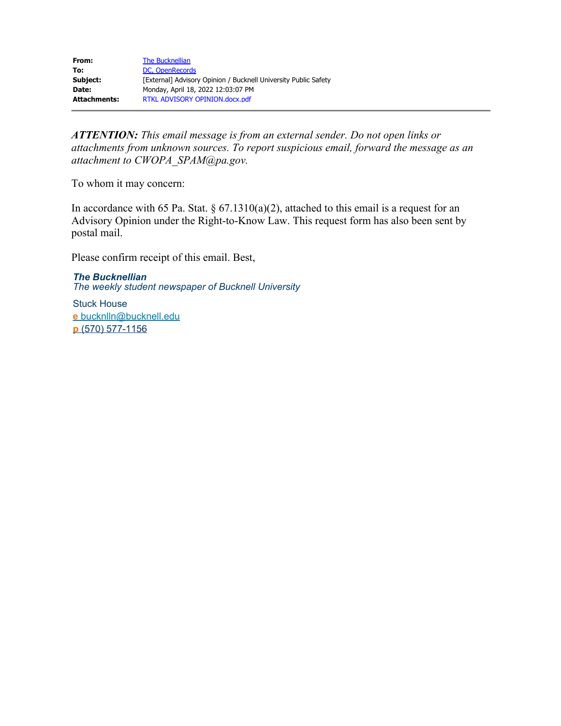| From:        | The Bucknellian                                                 |
|--------------|-----------------------------------------------------------------|
| To:          | DC. OpenRecords                                                 |
| Subject:     | [External] Advisory Opinion / Bucknell University Public Safety |
| Date:        | Monday, April 18, 2022 12:03:07 PM                              |
| Attachments: | RTKL ADVISORY OPINION.docx.pdf                                  |

*ATTENTION: This email message is from an external sender. Do not open links or attachments from unknown sources. To report suspicious email, forward the message as an attachment to CWOPA\_SPAM@pa.gov.*

To whom it may concern:

In accordance with 65 Pa. Stat.  $\S 67.1310(a)(2)$ , attached to this email is a request for an Advisory Opinion under the Right-to-Know Law. This request form has also been sent by postal mail.

Please confirm receipt of this email. Best,

*The Bucknellian The weekly student newspaper of Bucknell University*

Stuck House **e** [bucknlln@bucknell.edu](mailto:bucknlln@bucknell.edu) **p** [\(570\) 577-1156](tel:(570)+577-1156)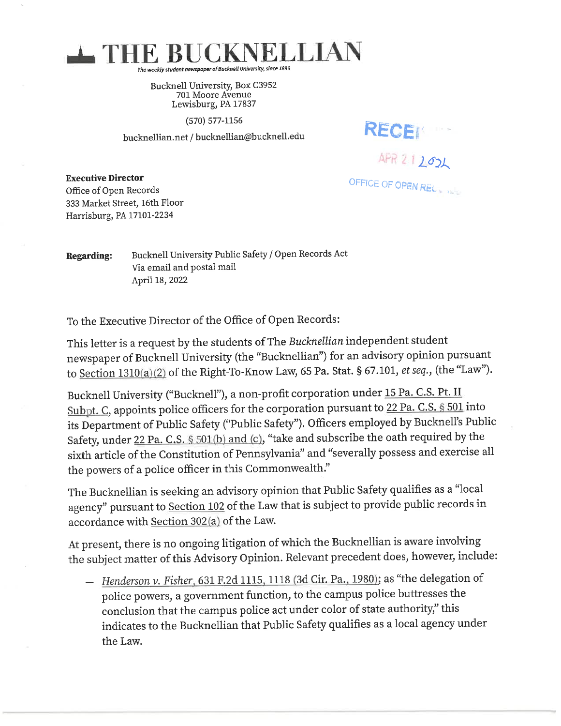

Bucknell University, Box C3952 701 Moore Avenue Lewisburg, PA 17837

 $(570) 577 - 1156$ 

bucknellian.net / bucknellian@bucknell.edu

RECEM APR 212021

OFFICE OF OPEN RECTIVE

**Executive Director** Office of Open Records 333 Market Street, 16th Floor Harrisburg, PA 17101-2234

Bucknell University Public Safety / Open Records Act **Regarding:** Via email and postal mail April 18, 2022

To the Executive Director of the Office of Open Records:

This letter is a request by the students of The Bucknellian independent student newspaper of Bucknell University (the "Bucknellian") for an advisory opinion pursuant to Section 1310(a)(2) of the Right-To-Know Law, 65 Pa. Stat. § 67.101, et seq., (the "Law").

Bucknell University ("Bucknell"), a non-profit corporation under 15 Pa. C.S. Pt. II Subpt. C, appoints police officers for the corporation pursuant to 22 Pa. C.S. § 501 into its Department of Public Safety ("Public Safety"). Officers employed by Bucknell's Public Safety, under 22 Pa. C.S. § 501(b) and (c), "take and subscribe the oath required by the sixth article of the Constitution of Pennsylvania" and "severally possess and exercise all the powers of a police officer in this Commonwealth."

The Bucknellian is seeking an advisory opinion that Public Safety qualifies as a "local agency" pursuant to Section 102 of the Law that is subject to provide public records in accordance with Section 302(a) of the Law.

At present, there is no ongoing litigation of which the Bucknellian is aware involving the subject matter of this Advisory Opinion. Relevant precedent does, however, include:

- Henderson v. Fisher, 631 F.2d 1115, 1118 (3d Cir. Pa., 1980); as "the delegation of police powers, a government function, to the campus police buttresses the conclusion that the campus police act under color of state authority," this indicates to the Bucknellian that Public Safety qualifies as a local agency under the Law.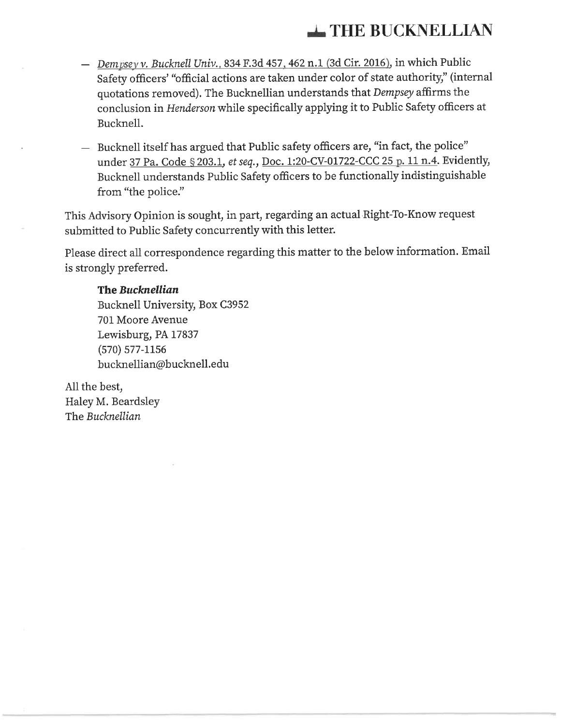## THE BUCKNELLIAN

- Dempsey v. Bucknell Univ., 834 F.3d 457, 462 n.1 (3d Cir. 2016), in which Public Safety officers' "official actions are taken under color of state authority," (internal quotations removed). The Bucknellian understands that Dempsey affirms the conclusion in Henderson while specifically applying it to Public Safety officers at Bucknell.
- Bucknell itself has argued that Public safety officers are, "in fact, the police" under 37 Pa. Code § 203.1, et seq., Doc. 1:20-CV-01722-CCC 25 p. 11 n.4. Evidently, Bucknell understands Public Safety officers to be functionally indistinguishable from "the police."

This Advisory Opinion is sought, in part, regarding an actual Right-To-Know request submitted to Public Safety concurrently with this letter.

Please direct all correspondence regarding this matter to the below information. Email is strongly preferred.

## The Bucknellian

Bucknell University, Box C3952 701 Moore Avenue Lewisburg, PA 17837  $(570) 577 - 1156$ bucknellian@bucknell.edu

All the best, Haley M. Beardsley The Bucknellian